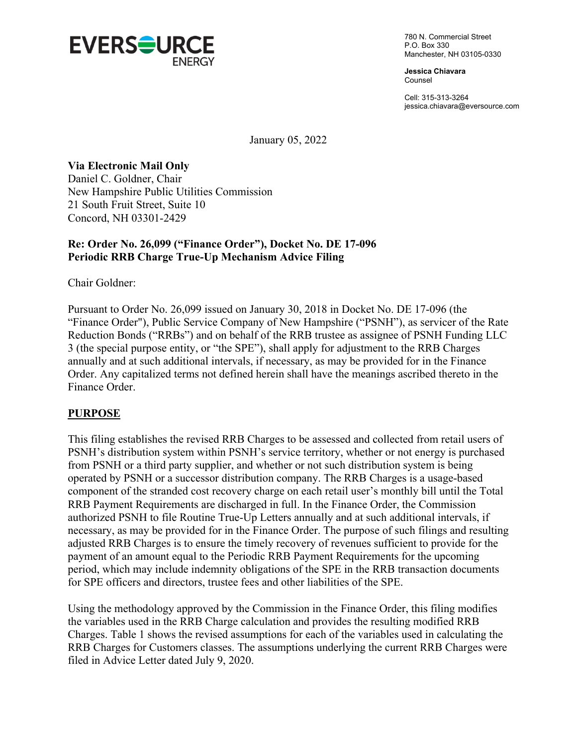

780 N. Commercial Street P.O. Box 330 Manchester, NH 03105-0330

**Jessica Chiavara** Counsel

Cell: 315-313-3264 jessica.chiavara@eversource.com

January 05, 2022

**Via Electronic Mail Only** Daniel C. Goldner, Chair New Hampshire Public Utilities Commission 21 South Fruit Street, Suite 10 Concord, NH 03301-2429

# **Re: Order No. 26,099 ("Finance Order"), Docket No. DE 17-096 Periodic RRB Charge True-Up Mechanism Advice Filing**

Chair Goldner:

Pursuant to Order No. 26,099 issued on January 30, 2018 in Docket No. DE 17-096 (the "Finance Order"), Public Service Company of New Hampshire ("PSNH"), as servicer of the Rate Reduction Bonds ("RRBs") and on behalf of the RRB trustee as assignee of PSNH Funding LLC 3 (the special purpose entity, or "the SPE"), shall apply for adjustment to the RRB Charges annually and at such additional intervals, if necessary, as may be provided for in the Finance Order. Any capitalized terms not defined herein shall have the meanings ascribed thereto in the Finance Order.

### **PURPOSE**

This filing establishes the revised RRB Charges to be assessed and collected from retail users of PSNH's distribution system within PSNH's service territory, whether or not energy is purchased from PSNH or a third party supplier, and whether or not such distribution system is being operated by PSNH or a successor distribution company. The RRB Charges is a usage-based component of the stranded cost recovery charge on each retail user's monthly bill until the Total RRB Payment Requirements are discharged in full. In the Finance Order, the Commission authorized PSNH to file Routine True-Up Letters annually and at such additional intervals, if necessary, as may be provided for in the Finance Order. The purpose of such filings and resulting adjusted RRB Charges is to ensure the timely recovery of revenues sufficient to provide for the payment of an amount equal to the Periodic RRB Payment Requirements for the upcoming period, which may include indemnity obligations of the SPE in the RRB transaction documents for SPE officers and directors, trustee fees and other liabilities of the SPE.

Using the methodology approved by the Commission in the Finance Order, this filing modifies the variables used in the RRB Charge calculation and provides the resulting modified RRB Charges. Table 1 shows the revised assumptions for each of the variables used in calculating the RRB Charges for Customers classes. The assumptions underlying the current RRB Charges were filed in Advice Letter dated July 9, 2020.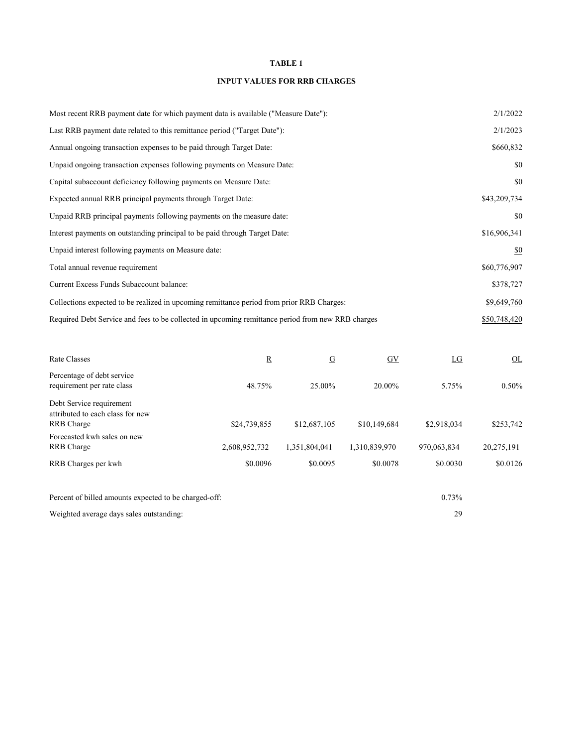#### **TABLE 1**

#### **INPUT VALUES FOR RRB CHARGES**

| Most recent RRB payment date for which payment data is available ("Measure Date"):                | 2/1/2022          |
|---------------------------------------------------------------------------------------------------|-------------------|
| Last RRB payment date related to this remittance period ("Target Date"):                          | 2/1/2023          |
| Annual ongoing transaction expenses to be paid through Target Date:                               | \$660,832         |
| Unpaid ongoing transaction expenses following payments on Measure Date:                           | \$0               |
| Capital subaccount deficiency following payments on Measure Date:                                 | \$0               |
| Expected annual RRB principal payments through Target Date:                                       | \$43,209,734      |
| Unpaid RRB principal payments following payments on the measure date:                             | \$0               |
| Interest payments on outstanding principal to be paid through Target Date:                        | \$16,906,341      |
| Unpaid interest following payments on Measure date:                                               | $\underline{\$0}$ |
| Total annual revenue requirement                                                                  | \$60,776,907      |
| Current Excess Funds Subaccount balance:                                                          | \$378,727         |
| Collections expected to be realized in upcoming remittance period from prior RRB Charges:         | \$9,649,760       |
| Required Debt Service and fees to be collected in upcoming remittance period from new RRB charges | \$50,748,420      |

| Rate Classes                                                               | $\mathbb{R}$  | $\overline{G}$ | $\overline{GV}$ | LG          | $\underline{\mathrm{OL}}$ |
|----------------------------------------------------------------------------|---------------|----------------|-----------------|-------------|---------------------------|
| Percentage of debt service<br>requirement per rate class                   | 48.75%        | 25.00%         | 20.00%          | 5.75%       | $0.50\%$                  |
| Debt Service requirement<br>attributed to each class for new<br>RRB Charge | \$24,739,855  | \$12,687,105   | \$10,149,684    | \$2,918,034 | \$253,742                 |
| Forecasted kwh sales on new<br>RRB Charge                                  | 2,608,952,732 | 1,351,804,041  | 1,310,839,970   | 970,063,834 | 20,275,191                |
| RRB Charges per kwh                                                        | \$0.0096      | \$0.0095       | \$0.0078        | \$0.0030    | \$0.0126                  |
| Percent of billed amounts expected to be charged-off:                      |               |                |                 | 0.73%       |                           |

Weighted average days sales outstanding: 29